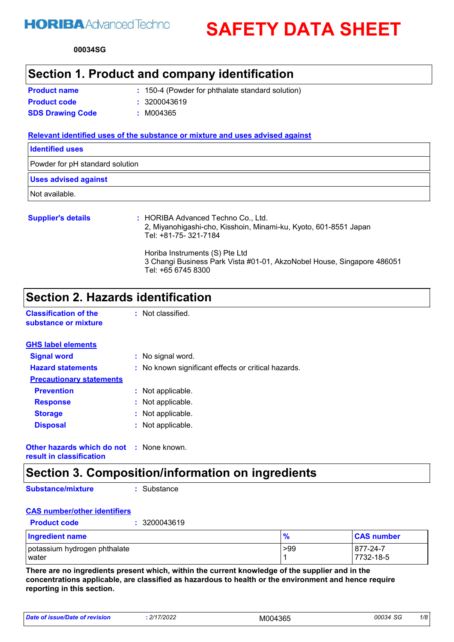# **HORIBA** Advanced Techno

**SAFETY DATA SHEET**

**00034 SG**

### **Section 1. Product and company identification**

| <b>Product name</b>     | : 150-4 (Powder for phthalate standard solution) |
|-------------------------|--------------------------------------------------|
| <b>Product code</b>     | : 3200043619                                     |
| <b>SDS Drawing Code</b> | : M004365                                        |

#### **Relevant identified uses of the substance or mixture and uses advised against**

| <b>Identified uses</b>          |
|---------------------------------|
| Powder for pH standard solution |
| <b>Uses advised against</b>     |
| Not available.                  |
| .<br>$\mathbf{1}$               |

| <b>Supplier's details</b> | : HORIBA Advanced Techno Co., Ltd.<br>2, Miyanohigashi-cho, Kisshoin, Minami-ku, Kyoto, 601-8551 Japan<br>Tel: +81-75- 321-7184 |
|---------------------------|---------------------------------------------------------------------------------------------------------------------------------|
|                           | Horiba Instruments (S) Pte Ltd<br>3 Changi Business Park Vista #01-01, AkzoNobel House, Singapore 486051<br>Tel: +65 6745 8300  |

## **Section 2. Hazards identification**

**Classification of the substance or mixture**

| <b>GHS label elements</b>       |                                                     |
|---------------------------------|-----------------------------------------------------|
| <b>Signal word</b>              | : No signal word.                                   |
| <b>Hazard statements</b>        | : No known significant effects or critical hazards. |
| <b>Precautionary statements</b> |                                                     |
| <b>Prevention</b>               | : Not applicable.                                   |
| <b>Response</b>                 | : Not applicable.                                   |
| <b>Storage</b>                  | : Not applicable.                                   |
| <b>Disposal</b>                 | : Not applicable.                                   |
|                                 |                                                     |

: Not classified.

**Other hazards which do not :** None known. **result in classification**

## **Section 3. Composition/information on ingredients**

**Substance/mixture**

**:** Substance

#### **CAS number/other identifiers**

| 3200043619<br><b>Product code</b>     |     |                       |
|---------------------------------------|-----|-----------------------|
| <b>Ingredient name</b>                | %   | <b>CAS number</b>     |
| potassium hydrogen phthalate<br>water | >99 | 877-24-7<br>7732-18-5 |

**There are no ingredients present which, within the current knowledge of the supplier and in the concentrations applicable, are classified as hazardous to health or the environment and hence require reporting in this section.**

| Date of issue/Date of revision | 2/17/2022 | M004365 | 00034 SG | 1/8 |
|--------------------------------|-----------|---------|----------|-----|
|--------------------------------|-----------|---------|----------|-----|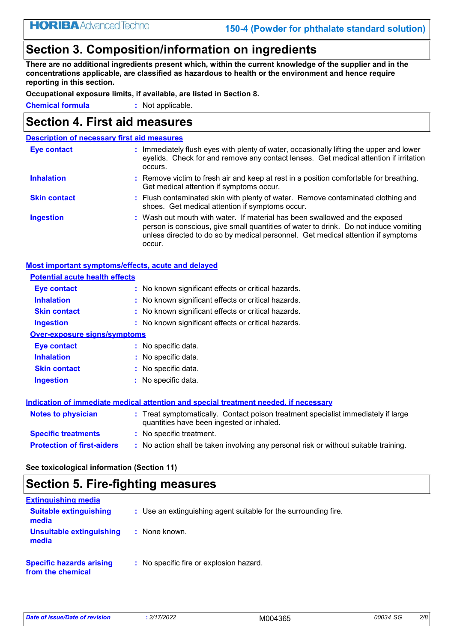## **Section 3. Composition/information on ingredients**

**There are no additional ingredients present which, within the current knowledge of the supplier and in the concentrations applicable, are classified as hazardous to health or the environment and hence require reporting in this section.**

**Occupational exposure limits, if available, are listed in Section 8.**

**Chemical formula :** Not applicable.

### **Section 4. First aid measures**

| <b>Description of necessary first aid measures</b> |                                                                                                                                                                                                                                                                   |
|----------------------------------------------------|-------------------------------------------------------------------------------------------------------------------------------------------------------------------------------------------------------------------------------------------------------------------|
| Eye contact                                        | : Immediately flush eyes with plenty of water, occasionally lifting the upper and lower<br>eyelids. Check for and remove any contact lenses. Get medical attention if irritation<br>occurs.                                                                       |
| <b>Inhalation</b>                                  | : Remove victim to fresh air and keep at rest in a position comfortable for breathing.<br>Get medical attention if symptoms occur.                                                                                                                                |
| <b>Skin contact</b>                                | : Flush contaminated skin with plenty of water. Remove contaminated clothing and<br>shoes. Get medical attention if symptoms occur.                                                                                                                               |
| <b>Ingestion</b>                                   | : Wash out mouth with water. If material has been swallowed and the exposed<br>person is conscious, give small quantities of water to drink. Do not induce vomiting<br>unless directed to do so by medical personnel. Get medical attention if symptoms<br>occur. |

#### **Most important symptoms/effects, acute and delayed**

| <b>Potential acute health effects</b>                                                |                                                                                                                                |  |
|--------------------------------------------------------------------------------------|--------------------------------------------------------------------------------------------------------------------------------|--|
| Eye contact                                                                          | : No known significant effects or critical hazards.                                                                            |  |
| <b>Inhalation</b>                                                                    | : No known significant effects or critical hazards.                                                                            |  |
| <b>Skin contact</b>                                                                  | : No known significant effects or critical hazards.                                                                            |  |
| <b>Ingestion</b>                                                                     | : No known significant effects or critical hazards.                                                                            |  |
| <b>Over-exposure signs/symptoms</b>                                                  |                                                                                                                                |  |
| Eye contact                                                                          | $:$ No specific data.                                                                                                          |  |
| <b>Inhalation</b>                                                                    | : No specific data.                                                                                                            |  |
| <b>Skin contact</b>                                                                  | $:$ No specific data.                                                                                                          |  |
| <b>Ingestion</b>                                                                     | : No specific data.                                                                                                            |  |
| Indication of immediate medical attention and special treatment needed, if necessary |                                                                                                                                |  |
| <b>Notes to physician</b>                                                            | : Treat symptomatically. Contact poison treatment specialist immediately if large<br>quantities have been ingested or inhaled. |  |
| <b>Specific treatments</b>                                                           | : No specific treatment.                                                                                                       |  |
| <b>Protection of first-aiders</b>                                                    | : No action shall be taken involving any personal risk or without suitable training.                                           |  |

**See toxicological information (Section 11)**

# **Section 5. Fire-fighting measures**

| <b>Extinguishing media</b>                           |                                                                 |
|------------------------------------------------------|-----------------------------------------------------------------|
| <b>Suitable extinguishing</b><br>media               | : Use an extinguishing agent suitable for the surrounding fire. |
| Unsuitable extinguishing<br>media                    | : None known.                                                   |
| <b>Specific hazards arising</b><br>from the chemical | : No specific fire or explosion hazard.                         |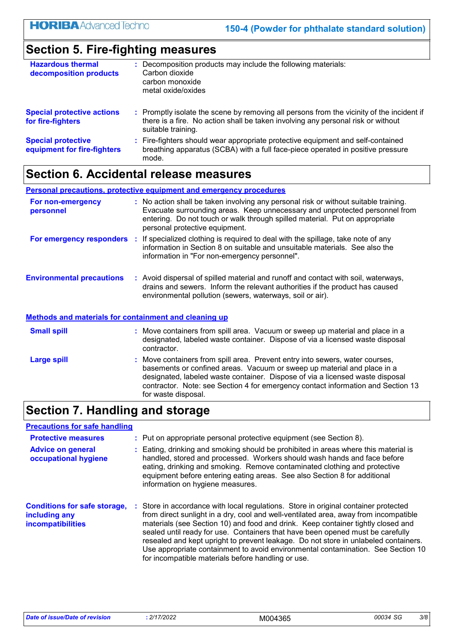## **Section 5. Fire-fighting measures**

| <b>Hazardous thermal</b><br>decomposition products       | : Decomposition products may include the following materials:<br>Carbon dioxide<br>carbon monoxide<br>metal oxide/oxides                                                                            |
|----------------------------------------------------------|-----------------------------------------------------------------------------------------------------------------------------------------------------------------------------------------------------|
| <b>Special protective actions</b><br>for fire-fighters   | : Promptly isolate the scene by removing all persons from the vicinity of the incident if<br>there is a fire. No action shall be taken involving any personal risk or without<br>suitable training. |
| <b>Special protective</b><br>equipment for fire-fighters | : Fire-fighters should wear appropriate protective equipment and self-contained<br>breathing apparatus (SCBA) with a full face-piece operated in positive pressure<br>mode.                         |

## **Section 6. Accidental release measures**

|                                                              | <b>Personal precautions, protective equipment and emergency procedures</b>                                                                                                                                                                                                           |
|--------------------------------------------------------------|--------------------------------------------------------------------------------------------------------------------------------------------------------------------------------------------------------------------------------------------------------------------------------------|
| For non-emergency<br>personnel                               | : No action shall be taken involving any personal risk or without suitable training.<br>Evacuate surrounding areas. Keep unnecessary and unprotected personnel from<br>entering. Do not touch or walk through spilled material. Put on appropriate<br>personal protective equipment. |
|                                                              | For emergency responders : If specialized clothing is required to deal with the spillage, take note of any<br>information in Section 8 on suitable and unsuitable materials. See also the<br>information in "For non-emergency personnel".                                           |
| <b>Environmental precautions</b>                             | : Avoid dispersal of spilled material and runoff and contact with soil, waterways,<br>drains and sewers. Inform the relevant authorities if the product has caused<br>environmental pollution (sewers, waterways, soil or air).                                                      |
| <b>Methods and materials for containment and cleaning up</b> |                                                                                                                                                                                                                                                                                      |
| <b>Small spill</b>                                           | : Move containers from spill area. Vacuum or sweep up material and place in a<br>designated, labeled waste container. Dispose of via a licensed waste disposal<br>contractor.                                                                                                        |
| <b>Large spill</b>                                           | : Move containers from spill area. Prevent entry into sewers, water courses,                                                                                                                                                                                                         |

#### basements or confined areas. Vacuum or sweep up material and place in a designated, labeled waste container. Dispose of via a licensed waste disposal contractor. Note: see Section 4 for emergency contact information and Section 13 for waste disposal.

## **Section 7. Handling and storage**

| <b>Precautions for safe handling</b>                                             |                                                                                                                                                                                                                                                                                                                                                                                                                                                                                                                                                                                  |
|----------------------------------------------------------------------------------|----------------------------------------------------------------------------------------------------------------------------------------------------------------------------------------------------------------------------------------------------------------------------------------------------------------------------------------------------------------------------------------------------------------------------------------------------------------------------------------------------------------------------------------------------------------------------------|
| <b>Protective measures</b>                                                       | : Put on appropriate personal protective equipment (see Section 8).                                                                                                                                                                                                                                                                                                                                                                                                                                                                                                              |
| <b>Advice on general</b><br>occupational hygiene                                 | : Eating, drinking and smoking should be prohibited in areas where this material is<br>handled, stored and processed. Workers should wash hands and face before<br>eating, drinking and smoking. Remove contaminated clothing and protective<br>equipment before entering eating areas. See also Section 8 for additional<br>information on hygiene measures.                                                                                                                                                                                                                    |
| <b>Conditions for safe storage,</b><br>including any<br><b>incompatibilities</b> | Store in accordance with local regulations. Store in original container protected<br>from direct sunlight in a dry, cool and well-ventilated area, away from incompatible<br>materials (see Section 10) and food and drink. Keep container tightly closed and<br>sealed until ready for use. Containers that have been opened must be carefully<br>resealed and kept upright to prevent leakage. Do not store in unlabeled containers.<br>Use appropriate containment to avoid environmental contamination. See Section 10<br>for incompatible materials before handling or use. |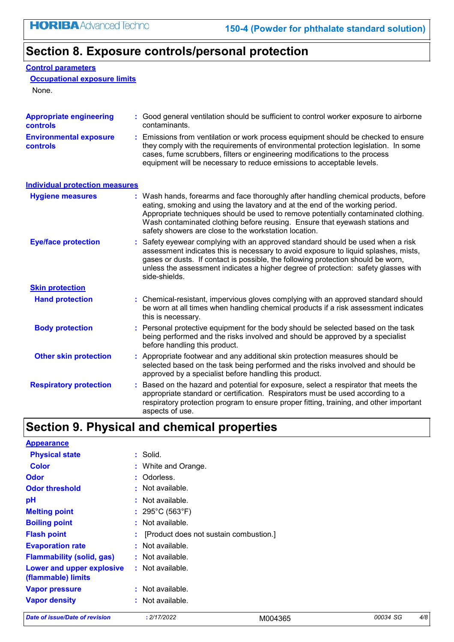## **Section 8. Exposure controls/personal protection**

#### **Control parameters**

**Occupational exposure limits**

None.

| <b>Appropriate engineering</b><br><b>controls</b> | : Good general ventilation should be sufficient to control worker exposure to airborne<br>contaminants.                                                                                                                                                                                                                                                                                           |  |  |
|---------------------------------------------------|---------------------------------------------------------------------------------------------------------------------------------------------------------------------------------------------------------------------------------------------------------------------------------------------------------------------------------------------------------------------------------------------------|--|--|
| <b>Environmental exposure</b><br>controls         | Emissions from ventilation or work process equipment should be checked to ensure<br>they comply with the requirements of environmental protection legislation. In some<br>cases, fume scrubbers, filters or engineering modifications to the process<br>equipment will be necessary to reduce emissions to acceptable levels.                                                                     |  |  |
| <b>Individual protection measures</b>             |                                                                                                                                                                                                                                                                                                                                                                                                   |  |  |
| <b>Hygiene measures</b>                           | : Wash hands, forearms and face thoroughly after handling chemical products, before<br>eating, smoking and using the lavatory and at the end of the working period.<br>Appropriate techniques should be used to remove potentially contaminated clothing.<br>Wash contaminated clothing before reusing. Ensure that eyewash stations and<br>safety showers are close to the workstation location. |  |  |
| <b>Eye/face protection</b>                        | Safety eyewear complying with an approved standard should be used when a risk<br>assessment indicates this is necessary to avoid exposure to liquid splashes, mists,<br>gases or dusts. If contact is possible, the following protection should be worn,<br>unless the assessment indicates a higher degree of protection: safety glasses with<br>side-shields.                                   |  |  |
| <b>Skin protection</b>                            |                                                                                                                                                                                                                                                                                                                                                                                                   |  |  |
| <b>Hand protection</b>                            | : Chemical-resistant, impervious gloves complying with an approved standard should<br>be worn at all times when handling chemical products if a risk assessment indicates<br>this is necessary.                                                                                                                                                                                                   |  |  |
| <b>Body protection</b>                            | : Personal protective equipment for the body should be selected based on the task<br>being performed and the risks involved and should be approved by a specialist<br>before handling this product.                                                                                                                                                                                               |  |  |
| <b>Other skin protection</b>                      | : Appropriate footwear and any additional skin protection measures should be<br>selected based on the task being performed and the risks involved and should be<br>approved by a specialist before handling this product.                                                                                                                                                                         |  |  |
| <b>Respiratory protection</b>                     | : Based on the hazard and potential for exposure, select a respirator that meets the<br>appropriate standard or certification. Respirators must be used according to a<br>respiratory protection program to ensure proper fitting, training, and other important<br>aspects of use.                                                                                                               |  |  |

# **Section 9. Physical and chemical properties**

| Date of issue/Date of revision                  | : 2/17/2022                              | M004365 | 00034 SG | 4/8 |
|-------------------------------------------------|------------------------------------------|---------|----------|-----|
| <b>Vapor density</b>                            | : Not available.                         |         |          |     |
| <b>Vapor pressure</b>                           | : Not available.                         |         |          |     |
| Lower and upper explosive<br>(flammable) limits | : Not available.                         |         |          |     |
| <b>Flammability (solid, gas)</b>                | : Not available.                         |         |          |     |
| <b>Evaporation rate</b>                         | $:$ Not available.                       |         |          |     |
| <b>Flash point</b>                              | : [Product does not sustain combustion.] |         |          |     |
| <b>Boiling point</b>                            | : Not available.                         |         |          |     |
| <b>Melting point</b>                            | : $295^{\circ}$ C (563 $^{\circ}$ F)     |         |          |     |
| pH                                              | : Not available.                         |         |          |     |
| <b>Odor threshold</b>                           | $\cdot$ Not available.                   |         |          |     |
| <b>Odor</b>                                     | : Odorless.                              |         |          |     |
| <b>Color</b>                                    | : White and Orange.                      |         |          |     |
| <b>Physical state</b>                           | $:$ Solid.                               |         |          |     |
| <b>Appearance</b>                               |                                          |         |          |     |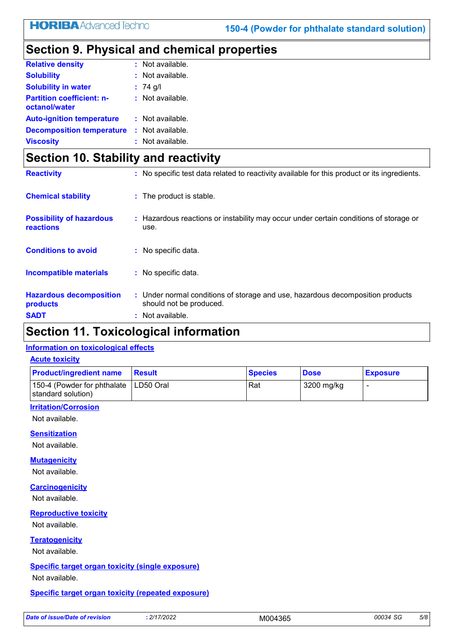# **Section 9. Physical and chemical properties**

| <b>Relative density</b>                           | $:$ Not available. |
|---------------------------------------------------|--------------------|
| <b>Solubility</b>                                 | $:$ Not available. |
| <b>Solubility in water</b>                        | : $74$ g/l         |
| <b>Partition coefficient: n-</b><br>octanol/water | $:$ Not available. |
| <b>Auto-ignition temperature</b>                  | : Not available.   |
| <b>Decomposition temperature</b>                  | : Not available.   |
| <b>Viscosity</b>                                  | $:$ Not available. |

## **Section 10. Stability and reactivity**

| <b>Reactivity</b>                            | : No specific test data related to reactivity available for this product or its ingredients.              |
|----------------------------------------------|-----------------------------------------------------------------------------------------------------------|
| <b>Chemical stability</b>                    | : The product is stable.                                                                                  |
| <b>Possibility of hazardous</b><br>reactions | : Hazardous reactions or instability may occur under certain conditions of storage or<br>use.             |
| <b>Conditions to avoid</b>                   | $:$ No specific data.                                                                                     |
| <b>Incompatible materials</b>                | : No specific data.                                                                                       |
| <b>Hazardous decomposition</b><br>products   | : Under normal conditions of storage and use, hazardous decomposition products<br>should not be produced. |
| <b>SADT</b>                                  | $:$ Not available.                                                                                        |

# **Section 11. Toxicological information**

#### **Information on toxicological effects**

#### **Acute toxicity**

| <b>Product/ingredient name</b>                                | <b>Result</b> | <b>Species</b> | <b>Dose</b> | <b>Exposure</b> |
|---------------------------------------------------------------|---------------|----------------|-------------|-----------------|
| 150-4 (Powder for phthalate   LD50 Oral<br>standard solution) |               | Rat            | 3200 mg/kg  |                 |

#### **Irritation/Corrosion**

Not available.

#### **Sensitization**

Not available.

#### **Mutagenicity**

Not available.

#### **Carcinogenicity**

Not available.

#### **Reproductive toxicity**

Not available.

#### **Teratogenicity**

Not available.

#### **Specific target organ toxicity (single exposure)**

Not available.

#### **Specific target organ toxicity (repeated exposure)**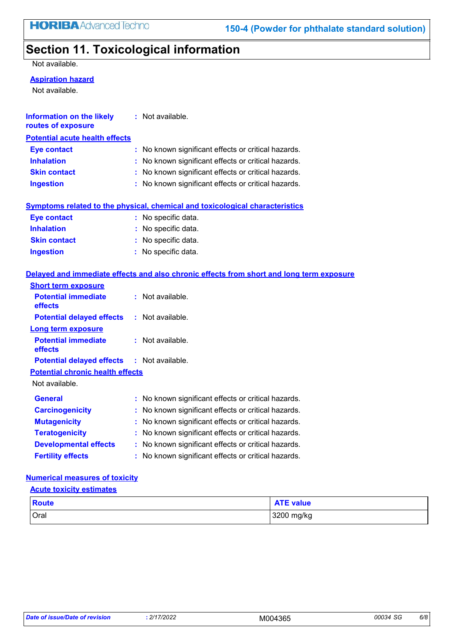# **Section 11. Toxicological information**

Not available.

#### **Aspiration hazard**

Not available.

| Information on the likely<br>routes of exposure | : Not available.                                                                         |
|-------------------------------------------------|------------------------------------------------------------------------------------------|
| <b>Potential acute health effects</b>           |                                                                                          |
| <b>Eye contact</b>                              | : No known significant effects or critical hazards.                                      |
| <b>Inhalation</b>                               | : No known significant effects or critical hazards.                                      |
| <b>Skin contact</b>                             | : No known significant effects or critical hazards.                                      |
| <b>Ingestion</b>                                | : No known significant effects or critical hazards.                                      |
|                                                 | <b>Symptoms related to the physical, chemical and toxicological characteristics</b>      |
| <b>Eye contact</b>                              | : No specific data.                                                                      |
| <b>Inhalation</b>                               | : No specific data.                                                                      |
| <b>Skin contact</b>                             | : No specific data.                                                                      |
| <b>Ingestion</b>                                | : No specific data.                                                                      |
|                                                 | Delayed and immediate effects and also chronic effects from short and long term exposure |
| <b>Short term exposure</b>                      |                                                                                          |
| <b>Potential immediate</b>                      | $:$ Not available.                                                                       |

| Potential Immediate<br>effects                    | : Not available.                                    |
|---------------------------------------------------|-----------------------------------------------------|
| <b>Potential delayed effects : Not available.</b> |                                                     |
| <b>Long term exposure</b>                         |                                                     |
| <b>Potential immediate</b><br>effects             | : Not available.                                    |
| <b>Potential delayed effects : Not available.</b> |                                                     |
| <b>Potential chronic health effects</b>           |                                                     |
| Not available.                                    |                                                     |
| General                                           | : No known significant effects or critical hazards. |
| <b>Carcinogenicity</b>                            | : No known significant effects or critical hazards. |
| <b>Mutagenicity</b>                               | : No known significant effects or critical hazards. |
| <b>Teratogenicity</b>                             | : No known significant effects or critical hazards. |
| <b>Developmental effects</b>                      | : No known significant effects or critical hazards. |
| <b>Fertility effects</b>                          | : No known significant effects or critical hazards. |

#### **Numerical measures of toxicity**

#### **Acute toxicity estimates**

| <b>Route</b> | <b>ATE value</b> |
|--------------|------------------|
| Oral         | 3200 mg/kg       |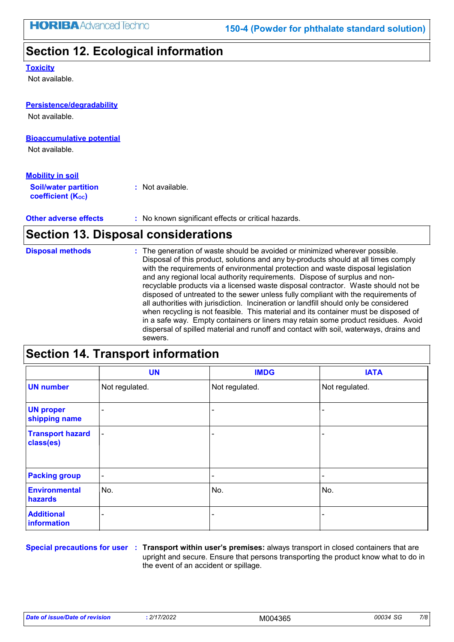## **Section 12. Ecological information**

#### **Toxicity**

Not available.

### **Bioaccumulative potential** Not available. **Persistence/degradability Soil/water partition coefficient (Koc) :** Not available. **Mobility in soil** Not available.

#### **Other adverse effects** : No known significant effects or critical hazards.

## **Section 13. Disposal considerations**

| <b>Disposal methods</b> | : The generation of waste should be avoided or minimized wherever possible.<br>Disposal of this product, solutions and any by-products should at all times comply<br>with the requirements of environmental protection and waste disposal legislation<br>and any regional local authority requirements. Dispose of surplus and non-<br>recyclable products via a licensed waste disposal contractor. Waste should not be<br>disposed of untreated to the sewer unless fully compliant with the requirements of<br>all authorities with jurisdiction. Incineration or landfill should only be considered<br>when recycling is not feasible. This material and its container must be disposed of<br>in a safe way. Empty containers or liners may retain some product residues. Avoid<br>dispersal of spilled material and runoff and contact with soil, waterways, drains and<br>sewers. |
|-------------------------|-----------------------------------------------------------------------------------------------------------------------------------------------------------------------------------------------------------------------------------------------------------------------------------------------------------------------------------------------------------------------------------------------------------------------------------------------------------------------------------------------------------------------------------------------------------------------------------------------------------------------------------------------------------------------------------------------------------------------------------------------------------------------------------------------------------------------------------------------------------------------------------------|
|                         |                                                                                                                                                                                                                                                                                                                                                                                                                                                                                                                                                                                                                                                                                                                                                                                                                                                                                         |

## **Section 14. Transport information**

|                                      | <b>UN</b>      | <b>IMDG</b>              | <b>IATA</b>              |
|--------------------------------------|----------------|--------------------------|--------------------------|
| <b>UN number</b>                     | Not regulated. | Not regulated.           | Not regulated.           |
| <b>UN proper</b><br>shipping name    | ۰              |                          | $\overline{\phantom{a}}$ |
| <b>Transport hazard</b><br>class(es) | $\blacksquare$ | $\overline{\phantom{0}}$ | $\overline{\phantom{a}}$ |
| <b>Packing group</b>                 | $\sim$         | ۰                        | $\blacksquare$           |
| <b>Environmental</b><br>hazards      | No.            | No.                      | No.                      |
| <b>Additional</b><br>information     | ٠              | $\overline{\phantom{0}}$ |                          |

**Special precautions for user Transport within user's premises:** always transport in closed containers that are **:** upright and secure. Ensure that persons transporting the product know what to do in the event of an accident or spillage.